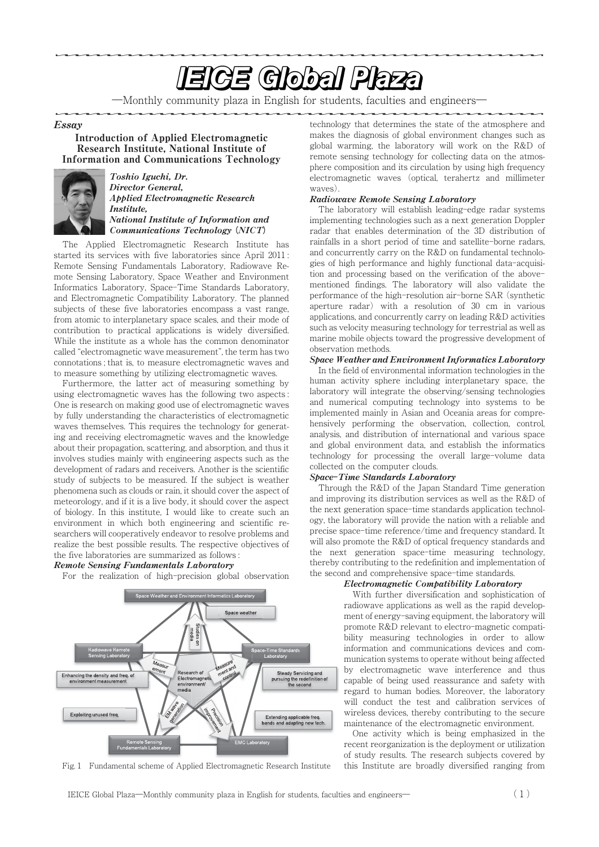# **EIGE Global Plaza**

―Monthly community plaza in English for students, faculties and engineers―

#### Essay

Introduction of Applied Electromagnetic Research Institute, National Institute of Information and Communications Technology



Toshio Iguchi, Dr. Director General, Applied Electromagnetic Research Institute, National Institute of Information and Communications Technology **(**NICT**)**

The Applied Electromagnetic Research Institute has started its services with five laboratories since April 2011 : Remote Sensing Fundamentals Laboratory, Radiowave Remote Sensing Laboratory, Space Weather and Environment Informatics Laboratory, Space-Time Standards Laboratory, and Electromagnetic Compatibility Laboratory. The planned subjects of these five laboratories encompass a vast range, from atomic to interplanetary space scales, and their mode of contribution to practical applications is widely diversified. While the institute as a whole has the common denominator called "electromagnetic wave measurement", the term has two connotations ; that is, to measure electromagnetic waves and to measure something by utilizing electromagnetic waves.

Furthermore, the latter act of measuring something by using electromagnetic waves has the following two aspects : One is research on making good use of electromagnetic waves by fully understanding the characteristics of electromagnetic waves themselves. This requires the technology for generating and receiving electromagnetic waves and the knowledge about their propagation, scattering, and absorption, and thus it involves studies mainly with engineering aspects such as the development of radars and receivers. Another is the scientific study of subjects to be measured. If the subject is weather phenomena such as clouds or rain, it should cover the aspect of meteorology, and if it is a live body, it should cover the aspect of biology. In this institute, I would like to create such an environment in which both engineering and scientific researchers will cooperatively endeavor to resolve problems and realize the best possible results. The respective objectives of the five laboratories are summarized as follows :

#### Remote Sensing Fundamentals Laboratory

For the realization of high-precision global observation



Fig. 1 Fundamental scheme of Applied Electromagnetic Research Institute

technology that determines the state of the atmosphere and makes the diagnosis of global environment changes such as global warming, the laboratory will work on the R&D of remote sensing technology for collecting data on the atmosphere composition and its circulation by using high frequency electromagnetic waves (optical, terahertz and millimeter waves).

#### Radiowave Remote Sensing Laboratory

The laboratory will establish leading-edge radar systems implementing technologies such as a next generation Doppler radar that enables determination of the 3D distribution of rainfalls in a short period of time and satellite-borne radars, and concurrently carry on the R&D on fundamental technologies of high performance and highly functional data-acquisition and processing based on the verification of the abovementioned findings. The laboratory will also validate the performance of the high-resolution air-borne SAR (synthetic aperture radar) with a resolution of 30 cm in various applications, and concurrently carry on leading R&D activities such as velocity measuring technology for terrestrial as well as marine mobile objects toward the progressive development of observation methods.

#### Space Weather and Environment Informatics Laboratory

In the field of environmental information technologies in the human activity sphere including interplanetary space, the laboratory will integrate the observing/sensing technologies and numerical computing technology into systems to be implemented mainly in Asian and Oceania areas for comprehensively performing the observation, collection, control, analysis, and distribution of international and various space and global environment data, and establish the informatics technology for processing the overall large-volume data collected on the computer clouds.

## Space**-**Time Standards Laboratory

Through the R&D of the Japan Standard Time generation and improving its distribution services as well as the R&D of the next generation space-time standards application technology, the laboratory will provide the nation with a reliable and precise space-time reference/time and frequency standard. It will also promote the R&D of optical frequency standards and the next generation space-time measuring technology, thereby contributing to the redefinition and implementation of the second and comprehensive space-time standards.

#### Electromagnetic Compatibility Laboratory

With further diversification and sophistication of radiowave applications as well as the rapid development of energy-saving equipment, the laboratory will promote R&D relevant to electro-magnetic compatibility measuring technologies in order to allow information and communications devices and communication systems to operate without being affected by electromagnetic wave interference and thus capable of being used reassurance and safety with regard to human bodies. Moreover, the laboratory will conduct the test and calibration services of wireless devices, thereby contributing to the secure maintenance of the electromagnetic environment.

One activity which is being emphasized in the recent reorganization is the deployment or utilization of study results. The research subjects covered by this Institute are broadly diversified ranging from